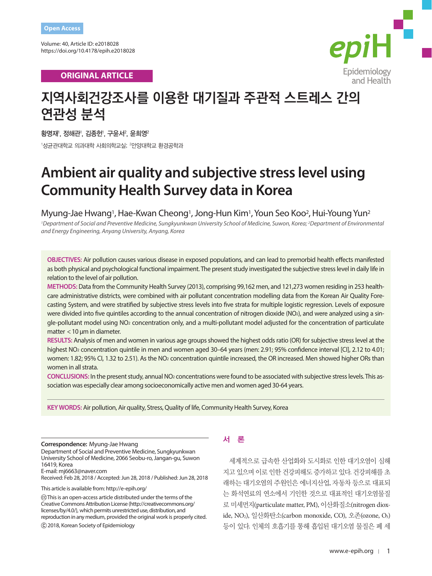Volume: 40, Article ID: e2018028 https://doi.org/10.4178/epih.e2018028

**ORIGINAL ARTICLE** 



# **지역사회건강조사를 이용한 대기질과 주관적 스트레스 간의 연관성 분석**

황명재', 정해관', 김종헌', 구윤서<sup>2</sup>, 윤희영<sup>2</sup> 1 성균관대학교 의과대학 사회의학교실; 2 안양대학교 환경공학과

# **Ambient air quality and subjective stress level using Community Health Survey data in Korea**

Myung-Jae Hwang1, Hae-Kwan Cheong1, Jong-Hun Kim1, Youn Seo Koo2, Hui-Young Yun2

*1Department of Social and Preventive Medicine, Sungkyunkwan University School of Medicine, Suwon, Korea; 2Department of Environmental and Energy Engineering, Anyang University, Anyang, Korea*

**OBJECTIVES:** Air pollution causes various disease in exposed populations, and can lead to premorbid health effects manifested as both physical and psychological functional impairment. The present study investigated the subjective stress level in daily life in relation to the level of air pollution.

**METHODS:** Data from the Community Health Survey (2013), comprising 99,162 men, and 121,273 women residing in 253 healthcare administrative districts, were combined with air pollutant concentration modelling data from the Korean Air Quality Forecasting System, and were stratified by subjective stress levels into five strata for multiple logistic regression. Levels of exposure were divided into five quintiles according to the annual concentration of nitrogen dioxide (NO2), and were analyzed using a single-pollutant model using NO<sub>2</sub> concentration only, and a multi-pollutant model adjusted for the concentration of particulate matter < 10 μm in diameter.

**RESULTS:** Analysis of men and women in various age groups showed the highest odds ratio (OR) for subjective stress level at the highest NO<sub>2</sub> concentration quintile in men and women aged 30–64 years (men: 2.91; 95% confidence interval [CI], 2.12 to 4.01; women: 1.82; 95% CI, 1.32 to 2.51). As the NO2 concentration quintile increased, the OR increased. Men showed higher ORs than women in all strata.

**CONCLUSIONS:** In the present study, annual NO2 concentrations were found to be associated with subjective stress levels. This association was especially clear among socioeconomically active men and women aged 30-64 years.

**KEY WORDS:** Air pollution, Air quality, Stress, Quality of life, Community Health Survey, Korea

**Correspondence:** Myung-Jae Hwang

Department of Social and Preventive Medicine, Sungkyunkwan University School of Medicine, 2066 Seobu-ro, Jangan-gu, Suwon 16419, Korea

E-mail: mj6663@naver.com

Received: Feb 28, 2018 / Accepted: Jun 28, 2018 / Published: Jun 28, 2018

This article is available from: http://e-epih.org/

 This is an open-access article distributed under the terms of the Creative Commons Attribution License (http://creativecommons.org/ licenses/by/4.0/), which permits unrestricted use, distribution, and reproduction in any medium, provided the original work is properly cited.

2018, Korean Society of Epidemiology

# 서 론

세계적으로 급속한 산업화와 도시화로 인한 대기오염이 심해 지고 있으며 이로 인한 건강피해도 증가하고 있다. 건강피해를 초 래하는 대기오염의 주원인은 에너지산업, 자동차 등으로 대표되 는 화석연료의 연소에서 기인한 것으로 대표적인 대기오염물질 로 미세먼지(particulate matter, PM), 이산화질소(nitrogen dioxide, NO2), 일산화탄소(carbon monoxide, CO), 오존(ozone, O3) 등이 있다. 인체의 호흡기를 통해 흡입된 대기오염 물질은 폐 세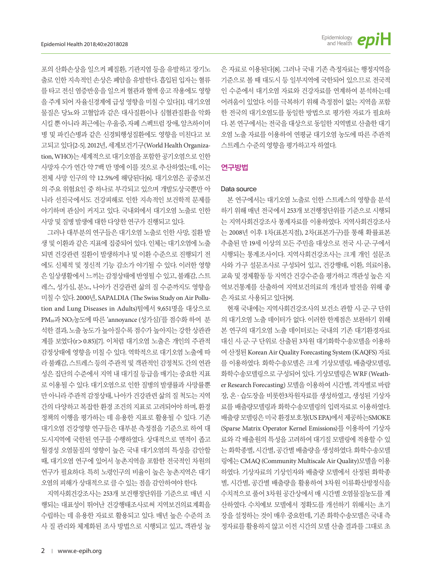출로 인한 지속적인 손상은 폐암을 유발한다. 흡입된 입자는 혈류 를 타고 전신 염증반응을 일으켜 혈관과 혈액 응고 작용에도 영향 을 주게 되어 자율신경계에 급성 영향을 미칠 수 있다[1]. 대기오염 물질은 당뇨와 고혈압과 같은 대사질환이나 심혈관질환을 악화 시킬뿐아니라최근에는우울증, 자폐스펙트럼장애, 알츠하이머 병 및 파킨슨병과 같은 신경퇴행성질환에도 영향을 미친다고 보 고되고 있다[2-5]. 2012년, 세계보건기구(World Health Organization, WHO)는 세계적으로 대기오염을 포함한 공기오염으로 인한 사망자 수가 연간 약 7백 만 명에 이를 것으로 추산하였는데, 이는 전체 사망 인구의 약 12.5%에 해당된다[6]. 대기오염은 공중보건 의 주요 위험요인 중 하나로 부각되고 있으며 개발도상국뿐만 아 니라 선진국에서도 건강피해로 인한 지속적인 보건학적 문제를 야기하며 관심이 커지고 있다. 국내외에서 대기오염 노출로 인한 사망 및 질병 발생에 대한 다양한 연구가 진행되고 있다.

그러나 대부분의 연구들은 대기오염 노출로 인한 사망, 질환 발 생 및 이환과 같은 지표에 집중되어 있다. 인체는 대기오염에 노출 되면 건강관련 질환이 발생하거나 및 이환 수준으로 진행되기 전 에도 신체적 및 정신적 기능 감소가 야기될 수 있다. 이러한 영향 은일상생활에서느끼는감정상태에반영될수있고, 불쾌감, 스트 레스, 성가심, 분노, 나아가 건강관련 삶의 질 수준까지도 영향을 미칠 수 있다. 2000년, SAPALDIA (The Swiss Study on Air Pollution and Lung Diseases in Adults)팀에서 9,651명을 대상으로 PM10과 NO2농도에 따른 'annoyance (성가심)'를 점수화 하여 분 석한 결과, 노출 농도가 높아질수록 점수가 높아지는 강한 상관관 계를 보였다(r>0.85)[7]. 이처럼 대기오염 노출은 개인의 주관적 감정상태에 영향을 미칠 수 있다. 역학적으로 대기오염 노출에 따 라 불쾌감, 스트레스 등의 주관적 및 객관적인 감정척도 간의 연관 성은 집단의 수준에서 지역 내 대기질 등급을 매기는 중요한 지표 로 이용될 수 있다. 대기오염으로 인한 질병의 발생률과 사망률뿐 만 아니라 주관적 감정상태, 나아가 건강관련 삶의 질 척도는 지역 간의 다양하고 복잡한 환경 조건의 지표로 고려되어야 하며, 환경 정책의 이행을 평가하는 데 유용한 지표로 활용될 수 있다. 기존 대기오염 건강영향 연구들은 대부분 측정점을 기준으로 하여 대 도시지역에 국한된 연구를 수행하였다. 상대적으로 면적이 좁고 월경성 오염물질의 영향이 높은 국내 대기오염의 특성을 감안할 때, 대기오염 연구에 있어서 농촌지역을 포함한 전국적인 차원의 연구가 필요하다. 특히 노령인구의 비율이 높은 농촌지역은 대기 오염의 피해가 상대적으로 클 수 있는 점을 감안하여야 한다.

지역사회건강조사는 253개 보건행정단위를 기준으로 매년 시 행되는 대표성이 뛰어난 건강행태조사로써 지역보건의료계획을 수립하는 데 유용한 자료로 활용되고 있다. 매년 높은 수준의 조 사 질 관리와 체계화된 조사 방법으로 시행되고 있고, 객관성 높 은 자료로 이용된다[8]. 그러나 국내 기존 측정자료는 행정지역을 기준으로 볼 때 대도시 등 일부지역에 국한되어 있으므로 전국적 인 수준에서 대기오염 자료와 건강자료를 연계하여 분석하는데 어려움이 있었다. 이를 극복하기 위해 측정점이 없는 지역을 포함 한 전국의 대기오염도를 동일한 방법으로 평가한 자료가 필요하 다. 본 연구에서는 전국을 대상으로 동일한 지역별로 산출한 대기 오염 노출 자료를 이용하여 연평균 대기오염 농도에 따른 주관적 스트레스수준의영향을평가하고자하였다.

epiH

Epidemiology<br>and Health

## 연구방법

### Data source

본 연구에서는 대기오염 노출로 인한 스트레스의 영향을 분석 하기 위해 매년 전국에서 253개 보건행정단위를 기준으로 시행되 는 지역사회건강조사 통계자료를 이용하였다. 지역사회건강조사 는 2008년 이후 1차(표본지점), 2차(표본가구)를 통해 확률표본 추출된 만 19세 이상의 모든 주민을 대상으로 전국 시·군·구에서 시행되는 통계조사이다. 지역사회건강조사는 크게 개인 설문조 사와 가구 설문조사로 구성되어 있고, 건강행태, 이환, 의료이용, 교육 및 경제활동 등 지역간 건강수준을 평가하고 객관성 높은 지 역보건통계를 산출하여 지역보건의료의 개선과 발전을 위해 좋 은자료로사용되고있다[9].

현재 국내에는 지역사회건강조사의 보건소 관할 시·군·구 단위 의 대기오염 노출 데이터가 없다. 이러한 한계점은 보완하기 위해 본 연구의 대기오염 노출 데이터로는 국내의 기존 대기환경자료 대신 시·군·구 단위로 산출된 3차원 대기화학수송모델을 이용하 여 산정된 Korean Air Quality Forecasting System (KAQFS) 자료 를 이용하였다. 화학수송모델은 크게 기상모델링, 배출량모델링, 화학수송모델링으로 구성되어 있다. 기상모델링은 WRF (Weather Research Forecasting) 모델을 이용하여 시간별, 격자별로 바람 장, 온ㆍ습도장을 비롯한3차원자료를 생성하였고, 생성된 기상자 료를 배출량모델링과 화학수송모델링의 입력자료로 이용하였다. 배출량모델링은미국환경보호청(US EPA)에서제공하는SMOKE (Sparse Matrix Operator Kernel Emissions)를 이용하여 기상자 료와 각 배출원의 특성을 고려하여 대기질 모델링에 적용할 수 있 는 화학종별, 시간별, 공간별 배출량을 생성하였다. 화학수송모델 링에는 CMAQ (Community Multiscale Air Quality)모델을 이용 하였다. 기상자료의 기상인자와 배출량 모델에서 산정된 화학종 별, 시간별, 공간별 배출량을 활용하여 3차원 이류확산방정식을 수치적으로 풀어 3차원 공간상에서 매 시간별 오염물질농도를 계 산하였다. 수치예보 모델에서 정확도를 개선하기 위해서는 초기 장을 설정하는 것이 매우 중요한데, 기존 화학수송모델은 국내 측 정자료를 활용하지 않고 이전 시간의 모델 산출 결과를 그대로 초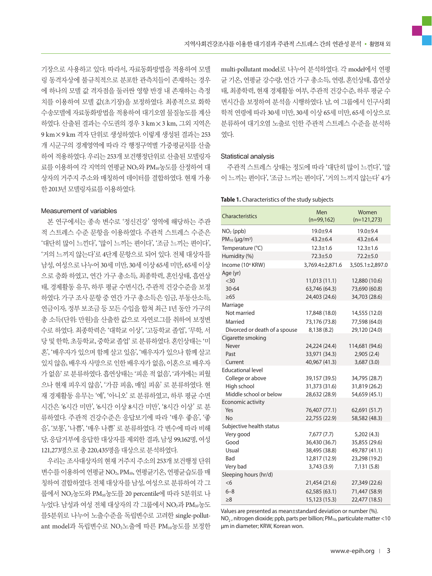기장으로 사용하고 있다. 따라서, 자료동화방법을 적용하여 모델 링 동격자상에 불규칙적으로 분포한 관측치들이 존재하는 경우 에 하나의 모델 값 격자점을 둘러싼 영향 반경 내 존재하는 측정 치를 이용하여 모델 값(초기장)을 보정하였다. 최종적으로 화학 수송모델에 자료동화방법을 적용하여 대기오염 물질농도를 계산 하였다. 산출된 결과는 수도권의 경우 3 km×3 km, 그외 지역은 9 km×9 km 격자 단위로 생성하였다. 이렇게 생성된 결과는 253 개 시군구의 경계영역에 따라 각 행정구역별 가중평균치를 산출 하여 적용하였다. 우리는 253개 보건행정단위로 산출된 모델링자 료를 이용하여 각 지역의 연평균 NO2와 PM10농도를 산정하여 대 상자의 거주지 주소와 매칭하여 데이터를 결합하였다. 현재 가용 한 2013년 모델링자료를 이용하였다.

#### Measurement of variables

본 연구에서는 종속 변수로 '정신건강' 영역에 해당하는 주관 적 스트레스 수준 문항을 이용하였다. 주관적 스트레스 수준은 '대단히 많이 느낀다', '많이 느끼는 편이다', '조금 느끼는 편이다', '거의 느끼지 않는다'로 4단계 문항으로 되어 있다. 전체 대상자를 남성, 여성으로 나누어 30세 미만, 30세 이상 65세 미만, 65세 이상 으로 층화 하였고, 연간 가구 총소득, 최종학력, 혼인상태, 흡연상 태, 경제활동 유무, 하루 평균 수면시간, 주관적 건강수준을 보정 하였다. 가구 조사 문항 중 연간 가구 총소득은 임금, 부동산소득, 연금이자, 정부 보조금 등 모든 수입을 합쳐 최근 1년 동안 가구의 총 소득(단위: 만원)을 산출한 값으로 자연로그를 취하여 보정변 수로 하였다. 최종학력은 '대학교 이상', '고등학교 졸업', '무학, 서 당 및 한학, 초등학교, 중학교 졸업' 로 분류하였다. 혼인상태는 '미 혼', '배우자가 있으며 함께 살고 있음', '배우자가 있으나 함께 살고 있지않음, 배우자사망으로인한배우자가없음, 이혼으로배우자 가없음'로분류하였다. 흡연상태는'피운적없음', '과거에는피웠 으나 현재 피우지 않음', '가끔 피움, 매일 피움' 로 분류하였다. 현 재 경제활동 유무는 '예', '아니오' 로 분류하였고, 하루 평균 수면 시간은 '6시간 미만', '6시간 이상 8시간 미만', '8시간 이상' 로 분 류하였다. 주관적 건강수준은 응답보기에 따라 '매우 좋음', '좋 음', '보통', '나쁨', '매우 나쁨' 로 분류하였다. 각 변수에 따라 비해 당, 응답거부에 응답한 대상자를 제외한 결과, 남성 99,162명, 여성 121,273명으로총 220,435명을대상으로분석하였다.

우리는 조사대상자의 현재 거주지 주소의 253개 보건행정 단위 변수를 이용하여 연평균 NO<sub>2</sub>, PM10, 연평균기온, 연평균습도를 매 칭하여결합하였다. 전체대상자를남성, 여성으로분류하여각그 룹에서 NO2농도와 PM10농도를 20 percentile에 따라 5분위로 나 누었다. 남성과 여성 전체 대상자의 각 그룹에서 NO2과 PM10농도 를5분위로 나누어 노출수준을 독립변수로 고려한 single-pollutant model과 독립변수로 NO2노출에 따른 PM10농도를 보정한 multi-pollutant model로 나누어 분석하였다. 각 model에서 연평 균 기온, 연평균 강수량, 연간 가구 총소득, 연령, 혼인상태, 흡연상 태, 최종학력, 현재 경제활동 여부, 주관적 건강수준, 하루 평균 수 면시간을 보정하여 분석을 시행하였다. 남, 여 그룹에서 인구사회 학적 연령에 따라 30세 미만, 30세 이상 65세 미만, 65세 이상으로 분류하여 대기오염 노출로 인한 주관적 스트레스 수준을 분석하 였다.

#### Statistical analysis

주관적 스트레스 상태는 정도에 따라 '대단히 많이 느낀다', '많 이 느끼는 편이다', '조금 느끼는 편이다', '거의 느끼지 않는다' 4가

#### **Table 1.** Characteristics of the study subjects

| Characteristics                       | Men<br>$(n=99,162)$            | Women<br>$(n=121,273)$         |
|---------------------------------------|--------------------------------|--------------------------------|
| NO <sub>2</sub> (ppb)                 | 19.0±9.4                       | 19.0±9.4                       |
| $PM_{10} (µg/m^3)$                    | $43.2 \pm 6.4$                 | $43.2 \pm 6.4$                 |
| Temperature (°C)                      | $12.3 \pm 1.6$                 | $12.3 \pm 1.6$                 |
| Humidity (%)                          | $72.3 + 5.0$                   | $72.2 + 5.0$                   |
| Income (10 <sup>4</sup> KRW)          | 3,769.4±2,871.6                | 3,505.1±2,897.0                |
| Age (yr)                              |                                |                                |
| $30$                                  | 11,013 (11.1)                  | 12,880 (10.6)                  |
| 30-64                                 | 63,746 (64.3)                  | 73,690 (60.8)                  |
| $\geq 65$                             | 24,403 (24.6)                  | 34,703 (28.6)                  |
| Marriage                              |                                |                                |
| Not married                           | 17,848 (18.0)                  | 14,555 (12.0)                  |
| Married                               | 73,176 (73.8)                  | 77,598 (64.0)                  |
| Divorced or death of a spouse         | 8,138 (8.2)                    | 29,120 (24.0)                  |
| Cigarette smoking                     |                                |                                |
| Never                                 | 24,224 (24.4)                  | 114,681 (94.6)                 |
| Past                                  | 33,971 (34.3)                  | 2,905(2.4)                     |
| Current                               | 40,967 (41.3)                  | 3,687(3.0)                     |
| <b>Educational level</b>              |                                |                                |
| College or above                      | 39,157 (39.5)                  | 34,795 (28.7)                  |
| High school<br>Middle school or below | 31,373 (31.6)<br>28,632 (28.9) | 31,819 (26.2)<br>54,659 (45.1) |
| Economic activity                     |                                |                                |
| Yes                                   | 76,407 (77.1)                  | 62,691 (51.7)                  |
| <b>No</b>                             | 22,755 (22.9)                  | 58,582 (48.3)                  |
| Subjective health status              |                                |                                |
| Very good                             | 7,677 (7.7)                    | 5,202(4.3)                     |
| Good                                  | 36,430 (36.7)                  | 35,855 (29.6)                  |
| Usual                                 | 38,495 (38.8)                  | 49,787 (41.1)                  |
| Bad                                   | 12,817 (12.9)                  | 23,298 (19.2)                  |
| Very bad                              | 3,743 (3.9)                    | 7,131 (5.8)                    |
| Sleeping hours (hr/d)                 |                                |                                |
| <6                                    | 21,454 (21.6)                  | 27,349 (22.6)                  |
| $6 - 8$                               | 62,585 (63.1)                  | 71,447 (58.9)                  |
| $\geq 8$                              | 15,123 (15.3)                  | 22,477 (18.5)                  |

Values are presented as mean±standard deviation or number (%).  $NO<sub>2</sub>$ , nitrogen dioxide; ppb, parts per billion; PM<sub>10</sub>, particulate matter <10 μm in diameter; KRW, Korean won.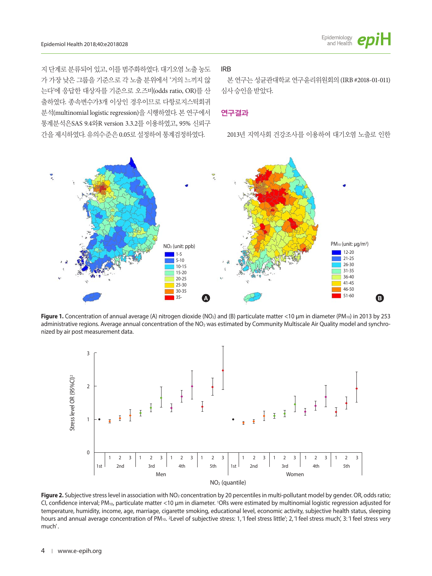

지 단계로 분류되어 있고, 이를 범주화하였다. 대기오염 노출 농도 가 가장 낮은 그룹을 기준으로 각 노출 분위에서 '거의 느끼지 않 는다'에 응답한 대상자를 기준으로 오즈비(odds ratio, OR)를 산 출하였다. 종속변수가3개 이상인 경우이므로 다항로지스틱회귀 분석(multinomial logistic regression)을 시행하였다. 본 연구에서 통계분석은SAS 9.4와R version 3.3.2를 이용하였고, 95% 신뢰구 간을제시하였다. 유의수준은 0.05로설정하여통계검정하였다.

## IRB

본 연구는 성균관대학교 연구윤리위원회의 (IRB #2018-01-011) 심사승인을받았다.

#### 연구결과

2013년 지역사회 건강조사를 이용하여 대기오염 노출로 인한



**Figure 1.** Concentration of annual average (A) nitrogen dioxide (NO<sub>2</sub>) and (B) particulate matter <10 μm in diameter (PM<sub>10</sub>) in 2013 by 253 administrative regions. Average annual concentration of the NO<sub>2</sub> was estimated by Community Multiscale Air Quality model and synchro-**Figure 1. Concentration of annual average NO2 and PM10 (a)** in 2013 by 253 administrative regions (unit: ppp).  $\frac{1}{2}$ **Average annual concentration of the NO2 was estimated by CMAQ model and synchronized by air post measurement data.** 



Figure 2. Subjective stress level in association with NO<sub>2</sub> concentration by 20 percentiles in multi-pollutant model by gender. OR, odds ratio; CI, confidence interval; PM10, particulate matter <10 μm in diameter. 1ORs were estimated by multinomial logistic regression adjusted for temperature, humidity, income, age, marriage, cigarette smoking, educational level, economic activity, subjective health status, sleeping hours and annual average concentration of PM<sub>10</sub>. <sup>2</sup>Level of subjective stress: 1, 'I feel stress little'; 2, 'I feel stress much', 3: 'I feel stress very much' .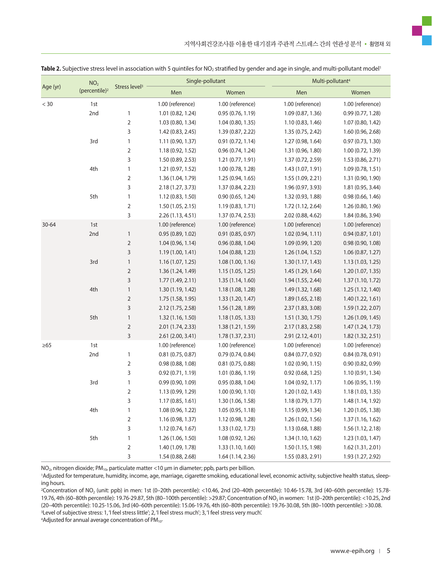| Age (yr)  | NO <sub>2</sub><br>(percentile) <sup>2</sup> | Stress level <sup>3</sup> | Single-pollutant    |                   |                   | Multi-pollutant <sup>4</sup> |  |
|-----------|----------------------------------------------|---------------------------|---------------------|-------------------|-------------------|------------------------------|--|
|           |                                              |                           | Men                 | Women             | Men               | Women                        |  |
| $< 30$    | 1st                                          |                           | 1.00 (reference)    | 1.00 (reference)  | 1.00 (reference)  | 1.00 (reference)             |  |
|           | 2nd                                          | 1                         | 1.01 (0.82, 1.24)   | 0.95(0.76, 1.19)  | 1.09 (0.87, 1.36) | 0.99(0.77, 1.28)             |  |
|           |                                              | 2                         | 1.03 (0.80, 1.34)   | 1.04 (0.80, 1.35) | 1.10 (0.83, 1.46) | 1.07 (0.80, 1.42)            |  |
|           |                                              | 3                         | 1.42 (0.83, 2.45)   | 1.39 (0.87, 2.22) | 1.35 (0.75, 2.42) | 1.60(0.96, 2.68)             |  |
|           | 3rd                                          | 1                         | 1.11(0.90, 1.37)    | 0.91(0.72, 1.14)  | 1.27 (0.98, 1.64) | 0.97(0.73, 1.30)             |  |
|           |                                              | 2                         | 1.18 (0.92, 1.52)   | 0.96 (0.74, 1.24) | 1.31 (0.96, 1.80) | 1.00 (0.72, 1.39)            |  |
|           |                                              | 3                         | 1.50 (0.89, 2.53)   | 1.21 (0.77, 1.91) | 1.37 (0.72, 2.59) | 1.53 (0.86, 2.71)            |  |
|           | 4th                                          | 1                         | 1.21 (0.97, 1.52)   | 1.00 (0.78, 1.28) | 1.43 (1.07, 1.91) | 1.09 (0.78, 1.51)            |  |
|           |                                              | 2                         | 1.36 (1.04, 1.79)   | 1.25 (0.94, 1.65) | 1.55 (1.09, 2.21) | 1.31 (0.90, 1.90)            |  |
|           |                                              | 3                         | 2.18 (1.27, 3.73)   | 1.37 (0.84, 2.23) | 1.96 (0.97, 3.93) | 1.81 (0.95, 3.44)            |  |
|           | 5th                                          | $\mathbf{1}$              | 1.12 (0.83, 1.50)   | 0.90(0.65, 1.24)  | 1.32 (0.93, 1.88) | 0.98(0.66, 1.46)             |  |
|           |                                              | 2                         | 1.50(1.05, 2.15)    | 1.19(0.83, 1.71)  | 1.72 (1.12, 2.64) | 1.26 (0.80, 1.96)            |  |
|           |                                              | 3                         | 2.26 (1.13, 4.51)   | 1.37 (0.74, 2.53) | 2.02 (0.88, 4.62) | 1.84 (0.86, 3.94)            |  |
| $30 - 64$ | 1st                                          |                           | 1.00 (reference)    | 1.00 (reference)  | 1.00 (reference)  | 1.00 (reference)             |  |
|           | 2nd                                          | $\mathbf{1}$              | 0.95(0.89, 1.02)    | 0.91(0.85, 0.97)  | 1.02(0.94, 1.11)  | 0.94(0.87, 1.01)             |  |
|           |                                              | $\overline{2}$            | 1.04(0.96, 1.14)    | 0.96(0.88, 1.04)  | 1.09 (0.99, 1.20) | 0.98(0.90, 1.08)             |  |
|           |                                              | 3                         | 1.19 (1.00, 1.41)   | 1.04 (0.88, 1.23) | 1.26 (1.04, 1.52) | 1.06 (0.87, 1.27)            |  |
|           | 3rd                                          | $\mathbf{1}$              | 1.16(1.07, 1.25)    | 1.08 (1.00, 1.16) | 1.30 (1.17, 1.43) | 1.13 (1.03, 1.25)            |  |
|           |                                              | 2                         | 1.36 (1.24, 1.49)   | 1.15(1.05, 1.25)  | 1.45 (1.29, 1.64) | 1.20(1.07, 1.35)             |  |
|           |                                              | 3                         | 1.77(1.49, 2.11)    | 1.35(1.14, 1.60)  | 1.94 (1.55, 2.44) | 1.37(1.10, 1.72)             |  |
|           | 4th                                          | $\mathbf{1}$              | 1.30 (1.19, 1.42)   | 1.18 (1.08, 1.28) | 1.49 (1.32, 1.68) | 1.25 (1.12, 1.40)            |  |
|           |                                              | 2                         | 1.75 (1.58, 1.95)   | 1.33(1.20, 1.47)  | 1.89 (1.65, 2.18) | 1.40(1.22, 1.61)             |  |
|           |                                              | 3                         | 2.12 (1.75, 2.58)   | 1.56 (1.28, 1.89) | 2.37 (1.83, 3.08) | 1.59 (1.22, 2.07)            |  |
|           | 5th                                          | $\mathbf{1}$              | 1.32 (1.16, 1.50)   | 1.18(1.05, 1.33)  | 1.51 (1.30, 1.75) | 1.26 (1.09, 1.45)            |  |
|           |                                              | 2                         | 2.01 (1.74, 2.33)   | 1.38 (1.21, 1.59) | 2.17 (1.83, 2.58) | 1.47 (1.24, 1.73)            |  |
|           |                                              | 3                         | 2.61 (2.00, 3.41)   | 1.78 (1.37, 2.31) | 2.91 (2.12, 4.01) | 1.82 (1.32, 2.51)            |  |
| $\geq 65$ | 1st                                          |                           | 1.00 (reference)    | 1.00 (reference)  | 1.00 (reference)  | 1.00 (reference)             |  |
|           | 2nd                                          | 1                         | $0.81$ (0.75, 0.87) | 0.79(0.74, 0.84)  | 0.84(0.77, 0.92)  | 0.84(0.78, 0.91)             |  |
|           |                                              | 2                         | 0.98(0.88, 1.08)    | 0.81(0.75, 0.88)  | 1.02 (0.90, 1.15) | 0.90(0.82, 0.99)             |  |
|           |                                              | 3                         | 0.92(0.71, 1.19)    | 1.01 (0.86, 1.19) | 0.92(0.68, 1.25)  | 1.10 (0.91, 1.34)            |  |
|           | 3rd                                          | $\mathbf{1}$              | 0.99(0.90, 1.09)    | 0.95 (0.88, 1.04) | 1.04 (0.92, 1.17) | 1.06 (0.95, 1.19)            |  |
|           |                                              | 2                         | 1.13 (0.99, 1.29)   | 1.00 (0.90, 1.10) | 1.20 (1.02, 1.43) | 1.18 (1.03, 1.35)            |  |
|           |                                              | 3                         | 1.17 (0.85, 1.61)   | 1.30 (1.06, 1.58) | 1.18 (0.79, 1.77) | 1.48 (1.14, 1.92)            |  |
|           | 4th                                          | 1                         | 1.08 (0.96, 1.22)   | 1.05 (0.95, 1.18) | 1.15 (0.99, 1.34) | 1.20(1.05, 1.38)             |  |
|           |                                              | 2                         | 1.16(0.98, 1.37)    | 1.12(0.98, 1.28)  | 1.26 (1.02, 1.56) | 1.37 (1.16, 1.62)            |  |
|           |                                              | 3                         | 1.12(0.74, 1.67)    | 1.33(1.02, 1.73)  | 1.13 (0.68, 1.88) | 1.56(1.12, 2.18)             |  |
|           | 5th                                          | $\mathbf{1}$              | 1.26 (1.06, 1.50)   | 1.08 (0.92, 1.26) | 1.34 (1.10, 1.62) | 1.23 (1.03, 1.47)            |  |
|           |                                              | 2                         | 1.40 (1.09, 1.78)   | 1.33(1.10, 1.60)  | 1.50 (1.15, 1.98) | 1.62(1.31, 2.01)             |  |
|           |                                              | 3                         | 1.54 (0.88, 2.68)   | 1.64 (1.14, 2.36) | 1.55 (0.83, 2.91) | 1.93 (1.27, 2.92)            |  |

Table 2. Subjective stress level in association with 5 quintiles for NO<sub>2</sub> stratified by gender and age in single, and multi-pollutant model<sup>1</sup>

NO<sub>2</sub>, nitrogen dioxide; PM<sub>10</sub>, particulate matter <10 μm in diameter; ppb, parts per billion.

1Adjusted for temperature, humidity, income, age, marriage, cigarette smoking, educational level, economic activity, subjective health status, sleeping hours.

2Concentration of NO2 (unit: ppb) in men: 1st (0–20th percentile): <10.46, 2nd (20–40th percentile): 10.46-15.78, 3rd (40–60th percentile): 15.78- 19.76, 4th (60–80th percentile): 19.76-29.87, 5th (80–100th percentile): >29.87; Concentration of NO2 in women: 1st (0–20th percentile): <10.25, 2nd (20–40th percentile): 10.25-15.06, 3rd (40–60th percentile): 15.06-19.76, 4th (60–80th percentile): 19.76-30.08, 5th (80–100th percentile): >30.08. 3Level of subjective stress: 1, 'I feel stress little'; 2, 'I feel stress much'; 3, 'I feel stress very much'.

 $4$ Adjusted for annual average concentration of PM<sub>10</sub>.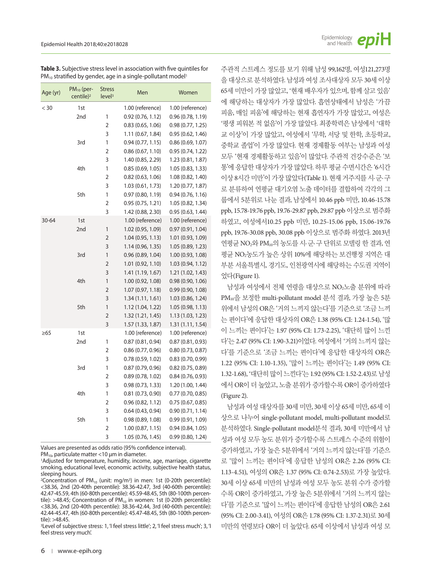| <b>Table 3.</b> Subjective stress level in association with five quintiles for |  |
|--------------------------------------------------------------------------------|--|
| $PM_{10}$ stratified by gender, age in a single-pollutant model <sup>1</sup>   |  |

| Age (yr)  | $PM_{10}$ (per-<br>centile) <sup>2</sup> | <b>Stress</b><br>level <sup>3</sup> | Men               | Women             |
|-----------|------------------------------------------|-------------------------------------|-------------------|-------------------|
| $<$ 30    | 1st                                      |                                     | 1.00 (reference)  | 1.00 (reference)  |
|           | 2nd                                      | 1                                   | 0.92(0.76, 1.12)  | 0.96(0.78, 1.19)  |
|           |                                          | 2                                   | 0.83(0.65, 1.06)  | 0.98(0.77, 1.25)  |
|           |                                          | 3                                   | 1.11 (0.67, 1.84) | 0.95(0.62, 1.46)  |
|           | 3rd                                      | 1                                   | 0.94(0.77, 1.15)  | 0.86(0.69, 1.07)  |
|           |                                          | $\overline{2}$                      | 0.86(0.67, 1.10)  | 0.95 (0.74, 1.22) |
|           |                                          | 3                                   | 1.40 (0.85, 2.29) | 1.23 (0.81, 1.87) |
|           | 4th                                      | 1                                   | 0.85(0.69, 1.05)  | 1.05 (0.83, 1.33) |
|           |                                          | 2                                   | 0.82(0.63, 1.06)  | 1.08 (0.82, 1.40) |
|           |                                          | 3                                   | 1.03 (0.61, 1.73) | 1.20 (0.77, 1.87) |
|           | 5th                                      | 1                                   | 0.97(0.80, 1.19)  | 0.94(0.76, 1.16)  |
|           |                                          | $\overline{2}$                      | 0.95(0.75, 1.21)  | 1.05 (0.82, 1.34) |
|           |                                          | 3                                   | 1.42 (0.88, 2.30) | 0.95(0.63, 1.44)  |
| 30-64     | 1st                                      |                                     | 1.00 (reference)  | 1.00 (reference)  |
|           | 2nd                                      | $\mathbf{1}$                        | 1.02 (0.95, 1.09) | 0.97(0.91, 1.04)  |
|           |                                          | 2                                   | 1.04 (0.95, 1.13) | 1.01 (0.93, 1.09) |
|           |                                          | 3                                   | 1.14 (0.96, 1.35) | 1.05 (0.89, 1.23) |
|           | 3rd                                      | 1                                   | 0.96(0.89, 1.04)  | 1.00 (0.93, 1.08) |
|           |                                          | $\overline{2}$                      | 1.01 (0.92, 1.10) | 1.03 (0.94, 1.12) |
|           |                                          | 3                                   | 1.41 (1.19, 1.67) | 1.21 (1.02, 1.43) |
|           | 4th                                      | $\mathbf{1}$                        | 1.00 (0.92, 1.08) | 0.98(0.90, 1.06)  |
|           |                                          | $\overline{2}$                      | 1.07 (0.97, 1.18) | 0.99(0.90, 1.08)  |
|           |                                          | 3                                   | 1.34(1.11, 1.61)  | 1.03 (0.86, 1.24) |
|           | 5th                                      | 1                                   | 1.12 (1.04, 1.22) | 1.05 (0.98, 1.13) |
|           |                                          | 2                                   | 1.32 (1.21, 1.45) | 1.13 (1.03, 1.23) |
|           |                                          | 3                                   | 1.57 (1.33, 1.87) | 1.31 (1.11, 1.54) |
| $\geq 65$ | 1st                                      |                                     | 1.00 (reference)  | 1.00 (reference)  |
|           | 2nd                                      | 1                                   | 0.87(0.81, 0.94)  | 0.87(0.81, 0.93)  |
|           |                                          | 2                                   | 0.86(0.77, 0.96)  | 0.80(0.73, 0.87)  |
|           |                                          | 3                                   | 0.78(0.59, 1.02)  | 0.83(0.70, 0.99)  |
|           | 3rd                                      | 1                                   | 0.87(0.79, 0.96)  | 0.82(0.75, 0.89)  |
|           |                                          | $\overline{2}$                      | 0.89(0.78, 1.02)  | 0.84(0.76, 0.93)  |
|           |                                          | 3                                   | 0.98(0.73, 1.33)  | 1.20 (1.00, 1.44) |
|           | 4th                                      | 1                                   | 0.81(0.73, 0.90)  | 0.77(0.70, 0.85)  |
|           |                                          | 2                                   | 0.96 (0.82, 1.12) | 0.75(0.67, 0.85)  |
|           |                                          | 3                                   | 0.64(0.43, 0.94)  | 0.90(0.71, 1.14)  |
|           | 5th                                      | 1                                   | 0.98(0.89, 1.08)  | 0.99(0.91, 1.09)  |
|           |                                          | 2                                   | 1.00(0.87, 1.15)  | 0.94(0.84, 1.05)  |
|           |                                          | 3                                   | 1.05 (0.76, 1.45) | 0.99(0.80, 1.24)  |

Values are presented as odds ratio (95% confidence interval).

PM10, particulate matter <10 μm in diameter.

1Adjusted for temperature, humidity, income, age, marriage, cigarette smoking, educational level, economic activity, subjective health status, sleeping hours.

<sup>2</sup>Concentration of PM<sub>10</sub> (unit: mg/m<sup>3</sup>) in men: 1st (0-20th percentile): <38.36, 2nd (20-40th percentile): 38.36-42.47, 3rd (40-60th percentile): 42.47-45.59, 4th (60-80th percentile): 45.59-48.45, 5th (80-100th percentile): >48.45; Concentration of  $PM_{10}$  in women: 1st (0-20th percentile): <38.36, 2nd (20-40th percentile): 38.36-42.44, 3rd (40-60th percentile): 42.44-45.47, 4th (60-80th percentile): 45.47-48.45, 5th (80-100th percentile): >48.45.

<sup>3</sup>Level of subjective stress: 1, 'I feel stress little'; 2, 'I feel stress much'; 3, 'I feel stress very much'.

주관적 스트레스 정도를 보기 위해 남성 99,162명, 여성121,273명 을 대상으로 분석하였다. 남성과 여성 조사대상자 모두 30세 이상 65세 미만이 가장 많았고, '현재 배우자가 있으며, 함께 살고 있음' 에 해당하는 대상자가 가장 많았다. 흡연상태에서 남성은 '가끔 피움, 매일 피움'에 해당하는 현재 흡연자가 가장 많았고, 여성은 '평생 피워본 적 없음'이 가장 많았다. 최종학력은 남성에서 '대학 교 이상'이 가장 많았고, 여성에서 '무학, 서당 및 한학, 초등학교, 중학교 졸업'이 가장 많았다. 현재 경제활동 여부는 남성과 여성 모두 '현재 경제활동하고 있음'이 많았다. 주관적 건강수준은 '보 통'에 응답한 대상자가 가장 많았다. 하루 평균 수면시간은 '6시간 이상 8시간 미만'이 가장 많았다(Table 1). 현재 거주지를 시·군·구 로 분류하여 연평균 대기오염 노출 데이터를 결합하여 각각의 그 룹에서 5분위로 나눈 결과, 남성에서 10.46 ppb 미만, 10.46-15.78 ppb, 15.78-19.76 ppb, 19.76-29.87 ppb, 29.87 ppb 이상으로 범주화 하였고, 여성에서10.25 ppb 미만, 10.25-15.06 ppb, 15.06-19.76 ppb, 19.76-30.08 ppb, 30.08 ppb 이상으로 범주화 하였다. 2013년 연평균 NO2와 PM10의 농도를 시·군·구 단위로 모델링 한 결과, 연 평균 NO2농도가 높은 상위 10%에 해당하는 보건행정 지역은 대 부분 서울특별시, 경기도, 인천광역시에 해당하는 수도권 지역이 었다(Figure 1).

남성과 여성에서 전체 연령을 대상으로 NO2노출 분위에 따라 PM10을 보정한 multi-pollutant model 분석 결과, 가장 높은 5분 위에서 남성의 OR은 '거의 느끼지 않는다'를 기준으로 '조금 느끼 는 편이다'에 응답한 대상자의 OR은 1.38 (95% CI: 1.24-1.54), '많 이 느끼는 편이다'는 1.97 (95% CI: 1.73-2.25), '대단히 많이 느낀 다'는 2.47 (95% CI: 1.90-3.21)이었다. 여성에서 '거의 느끼지 않는 다'를 기준으로 '조금 느끼는 편이다'에 응답한 대상자의 OR은 1.22 (95% CI: 1.10-1.35), '많이 느끼는 편이다'는 1.49 (95% CI: 1.32-1.68), '대단히 많이 느낀다'는 1.92 (95% CI: 1.52-2.43)로 남성 에서 OR이 더 높았고, 노출 분위가 증가할수록 OR이 증가하였다 (Figure 2).

남성과 여성 대상자를 30세 미만, 30세 이상 65세 미만, 65세 이 상으로 나누어 single-pollutant model, multi-pollutant model로 분석하였다. Single-pollutant model분석 결과, 30세 미만에서 남 성과 여성 모두 농도 분위가 증가할수록 스트레스 수준의 위험이 증가하였고, 가장 높은 5분위에서 '거의 느끼지 않는다'를 기준으 로 '많이 느끼는 편이다'에 응답한 남성의 OR은 2.26 (95% CI: 1.13-4.51), 여성의 OR은 1.37 (95% CI: 0.74-2.53)로 가장 높았다. 30세 이상 65세 미만의 남성과 여성 모두 농도 분위 수가 증가할 수록 OR이 증가하였고, 가장 높은 5분위에서 '거의 느끼지 않는 다'를 기준으로 '많이 느끼는 편이다'에 응답한 남성의 OR은 2.61 (95% CI: 2.00-3.41), 여성의 OR은 1.78 (95% CI: 1.37-2.31)로 30세 미만의 연령보다 OR이 더 높았다. 65세 이상에서 남성과 여성 모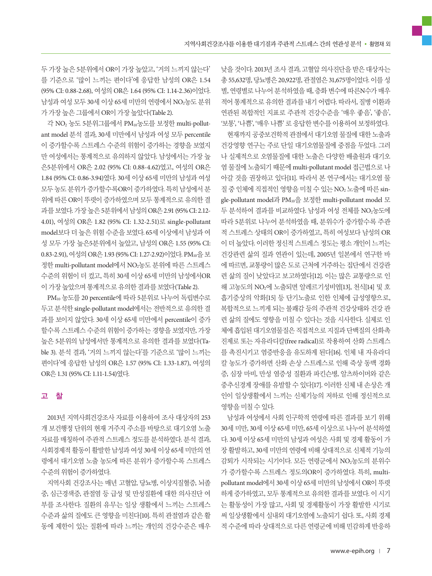두 가장 높은 5분위에서 OR이 가장 높았고, '거의 느끼지 않는다' 를 기준으로 '많이 느끼는 편이다'에 응답한 남성의 OR은 1.54 (95% CI: 0.88-2.68), 여성의 OR은 1.64 (95% CI: 1.14-2.36)이었다. 남성과 여성 모두 30세 이상 65세 미만의 연령에서 NO<sub>2</sub>농도 분위 가가장높은그룹에서 OR이가장높았다(Table 2).

각 NO2 농도 5분위그룹에서 PM10농도를 보정한 multi-pollutant model 분석 결과, 30세 미만에서 남성과 여성 모두 percentile 이 증가할수록 스트레스 수준의 위험이 증가하는 경향을 보였지 만 여성에서는 통계적으로 유의하지 않았다. 남성에서는 가장 높 은5분위에서 OR은 2.02 (95% CI: 0.88-4.62)였고, 여성의 OR은 1.84 (95% CI: 0.86-3.94)였다. 30세 이상 65세 미만의 남성과 여성 모두 농도 분위가 증가할수록OR이 증가하였다. 특히 남성에서 분 위에 따른 OR이 뚜렷이 증가하였으며 모두 통계적으로 유의한 결 과를 보였다. 가장 높은 5분위에서 남성의 OR은 2.91 (95% CI: 2.12-4.01), 여성의 OR은 1.82 (95% CI: 1.32-2.51)로 single-pollutant model보다 더 높은 위험 수준을 보였다. 65세 이상에서 남성과 여 성 모두 가장 높은5분위에서 높았고, 남성의 OR은 1.55 (95% CI: 0.83-2.91), 여성의 OR은 1.93 (95% CI: 1.27-2.92)이었다. PM<sub>10</sub>을 보 정한 multi-pollutant model에서 NO2농도 분위에 따른 스트레스 수준의 위험이 더 컸고, 특히 30세 이상 65세 미만의 남성에서OR 이가장높았으며통계적으로유의한결과를보였다(Table 2).

PM10 농도를 20 percentile에 따라 5분위로 나누어 독립변수로 두고 분석한 single-pollutant model에서는 전반적으로 유의한 결 과를 보이지 않았다. 30세 이상 65세 미만에서 percentile이 증가 할수록 스트레스 수준의 위험이 증가하는 경향을 보였지만, 가장 높은 5분위의 남성에서만 통계적으로 유의한 결과를 보였다(Table 3). 분석 결과, '거의 느끼지 않는다'를 기준으로 '많이 느끼는 편이다'에 응답한 남성의 OR은 1.57 (95% CI: 1.33-1.87), 여성의 OR은 1.31 (95% CI: 1.11-1.54)였다.

## 고 찰

2013년 지역사회건강조사 자료를 이용하여 조사 대상자의 253 개 보건행정 단위의 현재 거주지 주소를 바탕으로 대기오염 노출 자료를 매칭하여 주관적 스트레스 정도를 분석하였다. 분석 결과, 사회경제적 활동이 활발한 남성과 여성 30세 이상 65세 미만의 연 령에서 대기오염 노출 농도에 따른 분위가 증가할수록 스트레스 수준의위험이증가하였다.

지역사회 건강조사는 매년 고혈압, 당뇨병, 이상지질혈증, 뇌졸 중, 심근경색증, 관절염 등 급성 및 만성질환에 대한 의사진단 여 부를 조사한다. 질환의 유무는 일상 생활에서 느끼는 스트레스 수준과 삶의 질에도 큰 영향을 미친다[10]. 특히 관절염과 같은 활 동에 제한이 있는 질환에 따라 느끼는 개인의 건강수준은 매우

낮을 것이다. 2013년 조사 결과, 고혈압 의사진단을 받은 대상자는 총 55,632명, 당뇨병은 20,922명, 관절염은 31,675명이었다. 이를 성 별, 연령별로 나누어 분석하였을 때, 층화 변수에 따른N수가 매우 적어 통계적으로 유의한 결과를 내기 어렵다. 따라서, 질병 이환과 연관된 복합적인 지표로 주관적 건강수준을 '매우 좋음', '좋음', '보통', '나쁨', '매우나쁨'로응답한변수를이용하여보정하였다.

현재까지 공중보건학적 관점에서 대기오염 물질에 대한 노출과 건강영향 연구는 주로 단일 대기오염물질에 중점을 두었다. 그러 나 실제적으로 오염물질에 대한 노출은 다양한 배출원과 대기오 염 물질에 노출되기 때문에 multi-pollutant model 접근법으로 나 아갈 것을 권장하고 있다[11]. 따라서 본 연구에서는 대기오염 물 질 중 인체에 직접적인 영향을 미칠 수 있는 NO<sub>2</sub> 노출에 따른 single-pollutant model과 PM10을 보정한 multi-pollutant model 모 두 분석하여 결과를 비교하였다. 남성과 여성 전체를 NO2농도에 따라 5분위로 나누어 분석하였을 때, 분위수가 증가할수록 주관 적 스트레스 상태의 OR이 증가하였고, 특히 여성보다 남성의 OR 이 더 높았다. 이러한 정신적 스트레스 정도는 평소 개인이 느끼는 건강관련 삶의 질과 연관이 있는데, 2005년 일본에서 연구한 바 에 따르면, 교통량이 많은 도로 근처에 거주하는 집단에서 건강관 련 삶의 질이 낮았다고 보고하였다[12]. 이는 많은 교통량으로 인 해 고농도의 NO2에 노출되면 알레르기성비염[13], 천식[14] 및 호 흡기증상의 악화[15] 등 단기노출로 인한 인체에 급성영향으로, 복합적으로 느끼게 되는 불쾌감 등의 주관적 건강상태와 건강 관 련 삶의 질에도 영향을 미칠 수 있다는 것을 시사한다. 실제로 인 체에 흡입된 대기오염물질은 직접적으로 지질과 단백질의 산화촉 진제로 또는 자유라디칼(free radical)로 작용하여 산화 스트레스 를 촉진시키고 염증반응을 유도하게 된다[16]. 인체 내 자유라디 칼 농도가 증가하면 산화 손상 스트레스로 인해 죽상 동맥 경화 증, 심장 마비, 만성 염증성 질환과 파킨슨병, 알츠하이머와 같은 중추신경계 장애를 유발할 수 있다[17]. 이러한 신체 내 손상은 개 인이 일상생활에서 느끼는 신체기능의 저하로 인해 정신적으로 영향을미칠수있다.

남성과 여성에서 사회 인구학적 연령에 따른 결과를 보기 위해 30세 미만, 30세 이상 65세 미만, 65세 이상으로 나누어 분석하였 다. 30세 이상 65세 미만의 남성과 여성은 사회 및 경제 활동이 가 장 활발하고, 30세 미만의 연령에 비해 상대적으로 신체적 기능의 감퇴가 시작되는 시기이다. 모든 연령군에서 NO2농도의 분위수 가 증가할수록 스트레스 정도의OR이 증가하였다. 특히, multipollutant model에서 30세 이상 65세 미만의 남성에서 OR이 뚜렷 하게 증가하였고, 모두 통계적으로 유의한 결과를 보였다. 이 시기 는 활동성이 가장 많고, 사회 및 경제활동이 가장 활발한 시기로 써 일상생활에서 실내외 대기오염에 노출되기 쉽다. 또, 사회 경제 적 수준에 따라 상대적으로 다른 연령군에 비해 민감하게 반응하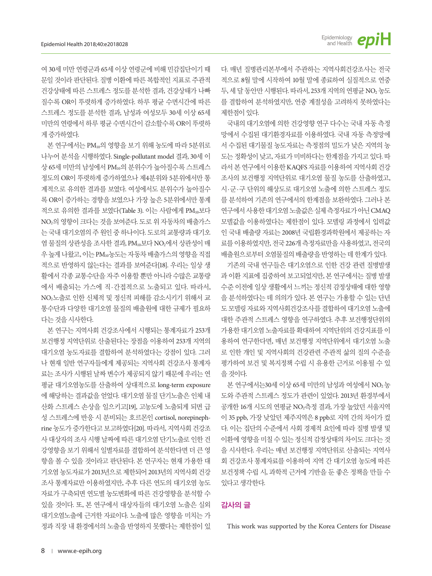여 30세 미만 연령군과 65세 이상 연령군에 비해 민감집단이기 때 문일 것이라 판단된다. 질병 이환에 따른 복합적인 지표로 주관적 건강상태에 따른 스트레스 정도를 분석한 결과, 건강상태가 나빠 질수록 OR이 뚜렷하게 증가하였다. 하루 평균 수면시간에 따른 스트레스 정도를 분석한 결과, 남성과 여성모두 30세 이상 65세 미만의 연령에서 하루 평균 수면시간이 감소할수록 OR이 뚜렷하 게증가하였다.

본 연구에서는 PM10의 영향을 보기 위해 농도에 따라 5분위로 나누어 분석을 시행하였다. Single-pollutant model 결과, 30세 이 상 65세 미만의 남성에서 PM10의 분위수가 높아질수록 스트레스 정도의 OR이 뚜렷하게 증가하였으나 제4분위와 5분위에서만 통 계적으로 유의한 결과를 보였다. 여성에서도 분위수가 높아질수 록 OR이 증가하는 경향을 보였으나 가장 높은 5분위에서만 통계 적으로 유의한 결과를 보였다(Table 3). 이는 사람에게 PM10보다 NO2의 영향이 크다는 것을 보여준다. 도로 위 자동차의 배출가스 는 국내 대기오염의 주 원인 중 하나이다. 도로의 교통량과 대기오 염 물질의 상관성을 조사한 결과, PM10보다 NO2에서 상관성이 매 우높게나왔고, 이는 PM10농도는자동차배출가스의영향을직접 적으로 반영하지 않는다는 결과를 보여준다[18]. 우리는 일상 생 활에서 각종 교통수단을 자주 이용할 뿐만 아니라 수많은 교통량 에서 배출되는 가스에 직·간접적으로 노출되고 있다. 따라서, NO2노출로 인한 신체적 및 정신적 피해를 감소시키기 위해서 교 통수단과 다양한 대기오염 물질의 배출원에 대한 규제가 필요하 다는것을시사한다.

본 연구는 지역사회 건강조사에서 시행되는 통계자료가 253개 보건행정 지역단위로 산출된다는 장점을 이용하여 253개 지역의 대기오염 농도자료를 결합하여 분석하였다는 강점이 있다. 그러 나 현재 일반 연구자들에게 제공되는 지역사회 건강조사 통계자 료는 조사가 시행된 날짜 변수가 제공되지 않기 때문에 우리는 연 평균 대기오염농도를 산출하여 상대적으로 long-term exposure 에 해당하는 결과값을 얻었다. 대기오염 물질 단기노출은 인체 내 산화 스트레스 손상을 일으키고[19], 고농도에 노출되게 되면 급 성 스트레스에 반응 시 분비되는 호르몬인 cortisol, norepinephrine 농도가 증가한다고 보고하였다[20]. 따라서, 지역사회 건강조 사 대상자의 조사 시행 날짜에 따른 대기오염 단기노출로 인한 건 강영향을 보기 위해서 일별자료를 결합하여 분석한다면 더 큰 영 향을 볼 수 있을 것이라고 판단된다. 본 연구자는 현재 가용한 대 기오염 농도자료가 2013년으로 제한되어 2013년의 지역사회 건강 조사 통계자료만 이용하였지만, 추후 다른 연도의 대기오염 농도 자료가 구축되면 연도별 농도변화에 따른 건강영향을 분석할 수 있을 것이다. 또, 본 연구에서 대상자들의 대기오염 노출은 실외 대기오염노출에 근거한 자료이다. 노출에 많은 영향을 미치는 가 정과 직장 내 환경에서의 노출을 반영하지 못했다는 제한점이 있 다. 매년 질병관리본부에서 주관하는 지역사회건강조사는 전국 적으로 8월 말에 시작하여 10월 말에 종료하여 실질적으로 연중 두, 세 달 동안만 시행된다. 따라서, 253개 지역의 연평균 NO2 농도 를 결합하여 분석하였지만, 연중 계절성을 고려하지 못하였다는 제한점이 있다.

국내의 대기오염에 의한 건강영향 연구 다수는 국내 자동 측정 망에서 수집된 대기환경자료를 이용하였다. 국내 자동 측정망에 서 수집된 대기물질 농도자료는 측정점의 밀도가 낮은 지역의 농 도는 정확성이 낮고, 자료가 미비하다는 한계점을 가지고 있다. 따 라서 본 연구에서 이용한 KAQFS 자료를 이용하여 지역사회 건강 조사의 보건행정 지역단위로 대기오염 물질 농도를 산출하였고, 시·군·구 단위의 해상도로 대기오염 노출에 의한 스트레스 정도 를 분석하여 기존의 연구에서의 한계점을 보완하였다. 그러나 본 연구에서사용한대기오염노출값은실제측정자료가아닌 CMAQ 모델값을 이용하였다는 제한점이 있다. 모델링 과정에서 입력값 인 국내 배출량 자료는 2008년 국립환경과학원에서 제공하는 자 료를 이용하였지만, 전국 226개 측정자료만을 사용하였고, 전국의 배출원으로부터오염물질의배출량을반영하는데한계가있다.

기존의 국내 연구들은 대기오염으로 인한 건강 관련 질병발생 과 이환 지표에 집중하여 보고되었지만, 본 연구에서는 질병 발생 수준 이전에 일상 생활에서 느끼는 정신적 감정상태에 대한 영향 을 분석하였다는 데 의의가 있다. 본 연구는 가용할 수 있는 단년 도모델링자료와지역사회건강조사를결합하여대기오염노출에 대한 주관적 스트레스 영향을 연구하였다. 추후 보건행정단위의 가용한 대기오염 노출자료를 확대하여 지역단위의 건강지표를 이 용하여 연구한다면, 매년 보건행정 지역단위에서 대기오염 노출 로 인한 개인 및 지역사회의 건강관련 주관적 삶의 질의 수준을 평가하여 보건 및 복지정책 수립 시 유용한 근거로 이용될 수 있 을것이다.

본 연구에서는30세 이상 65세 미만의 남성과 여성에서 NO<sub>2</sub> 농 도와 주관적 스트레스 정도가 관련이 있었다. 2013년 환경부에서 공개한 16개 시도의 연평균 NO2측정 결과, 가장 높았던 서울지역 이 35 ppb, 가장 낮았던 제주지역은 8 ppb로 지역 간의 차이가 컸 다. 이는 집단의 수준에서 사회 경제적 요인에 따라 질병 발생 및 이환에 영향을 미칠 수 있는 정신적 감정상태의 차이도 크다는 것 을 시사한다. 우리는 매년 보건행정 지역단위로 산출되는 지역사 회 건강조사 통계자료를 이용하여 지역 간 대기오염 농도에 따른 보건정책 수립 시, 과학적 근거에 기반을 둔 좋은 정책을 만들 수 있다고생각한다.

## 감사의 글

This work was supported by the Korea Centers for Disease